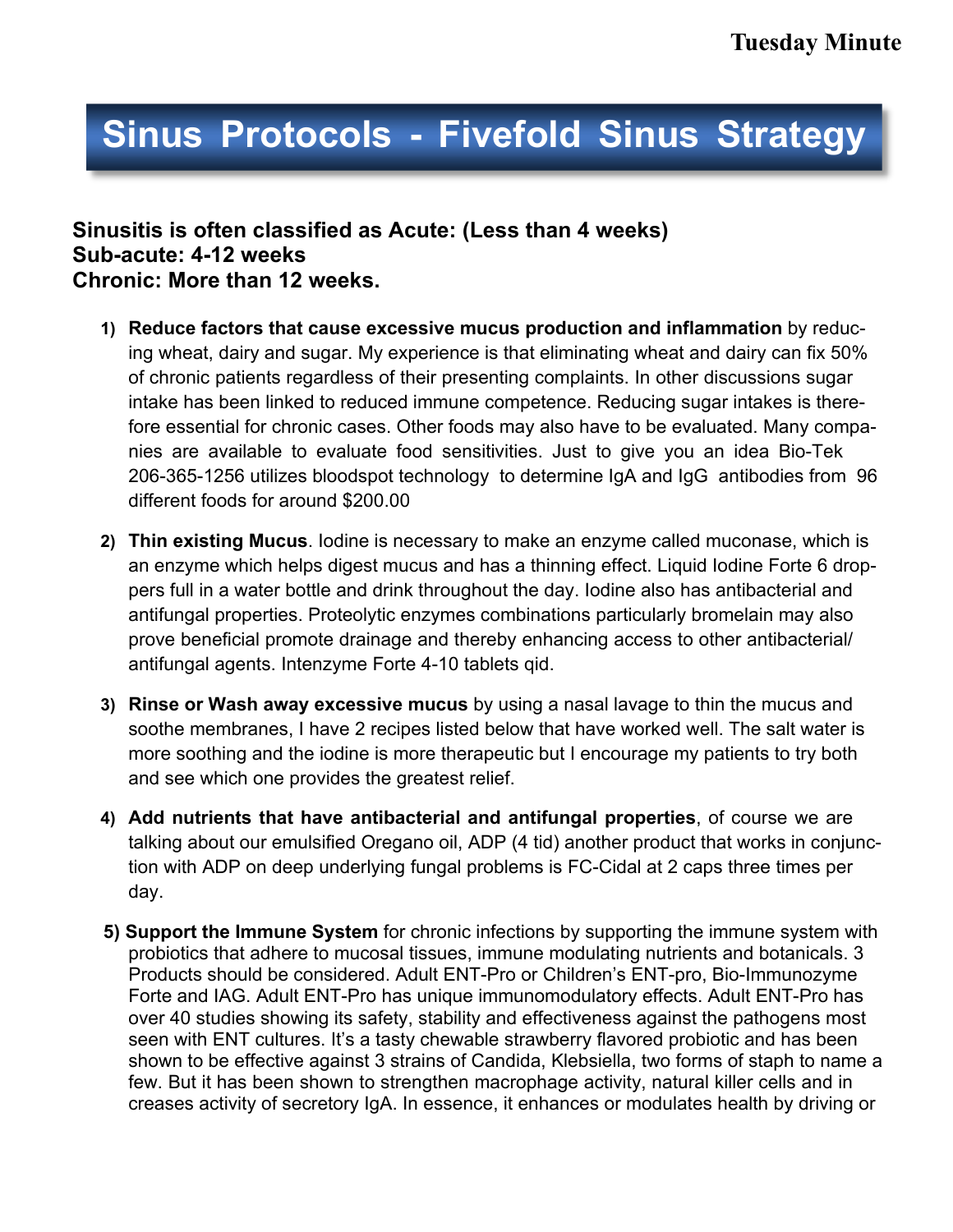# **Sinus Protocols - Fivefold Sinus Strategy**

## **Sinusitis is often classified as Acute: (Less than 4 weeks) Sub-acute: 4-12 weeks Chronic: More than 12 weeks.**

- **1) Reduce factors that cause excessive mucus production and inflammation** by reducing wheat, dairy and sugar. My experience is that eliminating wheat and dairy can fix 50% of chronic patients regardless of their presenting complaints. In other discussions sugar intake has been linked to reduced immune competence. Reducing sugar intakes is therefore essential for chronic cases. Other foods may also have to be evaluated. Many companies are available to evaluate food sensitivities. Just to give you an idea Bio-Tek 206-365-1256 utilizes bloodspot technology to determine IgA and IgG antibodies from 96 different foods for around \$200.00
- **2) Thin existing Mucus**. Iodine is necessary to make an enzyme called muconase, which is an enzyme which helps digest mucus and has a thinning effect. Liquid Iodine Forte 6 droppers full in a water bottle and drink throughout the day. Iodine also has antibacterial and antifungal properties. Proteolytic enzymes combinations particularly bromelain may also prove beneficial promote drainage and thereby enhancing access to other antibacterial/ antifungal agents. Intenzyme Forte 4-10 tablets qid.
- **3) Rinse or Wash away excessive mucus** by using a nasal lavage to thin the mucus and soothe membranes, I have 2 recipes listed below that have worked well. The salt water is more soothing and the iodine is more therapeutic but I encourage my patients to try both and see which one provides the greatest relief.
- **4) Add nutrients that have antibacterial and antifungal properties**, of course we are talking about our emulsified Oregano oil, ADP (4 tid) another product that works in conjunction with ADP on deep underlying fungal problems is FC-Cidal at 2 caps three times per day.
- **5) Support the Immune System** for chronic infections by supporting the immune system with probiotics that adhere to mucosal tissues, immune modulating nutrients and botanicals. 3 Products should be considered. Adult ENT-Pro or Children's ENT-pro, Bio-Immunozyme Forte and IAG. Adult ENT-Pro has unique immunomodulatory effects. Adult ENT-Pro has over 40 studies showing its safety, stability and effectiveness against the pathogens most seen with ENT cultures. It's a tasty chewable strawberry flavored probiotic and has been shown to be effective against 3 strains of Candida, Klebsiella, two forms of staph to name a few. But it has been shown to strengthen macrophage activity, natural killer cells and in creases activity of secretory IgA. In essence, it enhances or modulates health by driving or